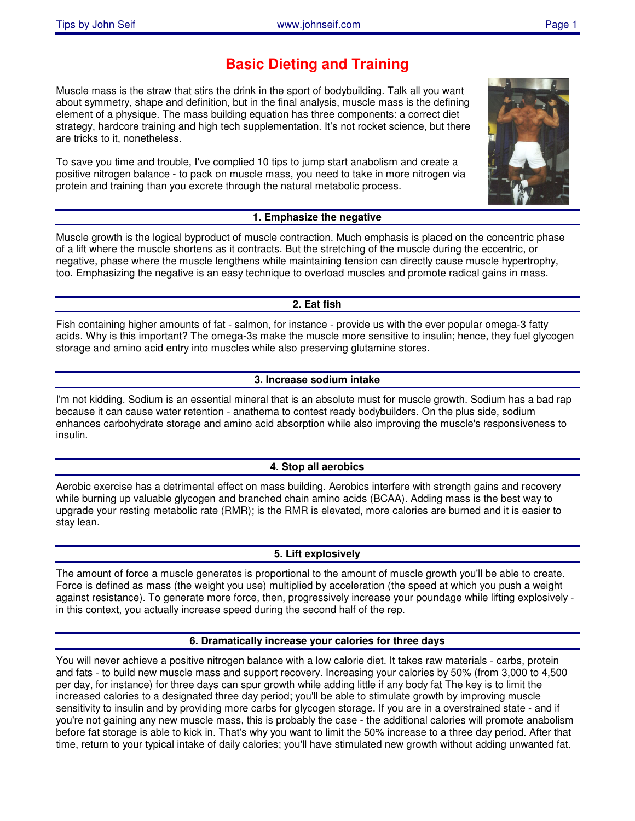## **Basic Dieting and Training**

Muscle mass is the straw that stirs the drink in the sport of bodybuilding. Talk all you want about symmetry, shape and definition, but in the final analysis, muscle mass is the defining element of a physique. The mass building equation has three components: a correct diet strategy, hardcore training and high tech supplementation. It's not rocket science, but there are tricks to it, nonetheless.

To save you time and trouble, I've complied 10 tips to jump start anabolism and create a positive nitrogen balance - to pack on muscle mass, you need to take in more nitrogen via protein and training than you excrete through the natural metabolic process.

**1. Emphasize the negative** Muscle growth is the logical byproduct of muscle contraction. Much emphasis is placed on the concentric phase of a lift where the muscle shortens as it contracts. But the stretching of the muscle during the eccentric, or negative, phase where the muscle lengthens while maintaining tension can directly cause muscle hypertrophy,

# **2. Eat fish**

too. Emphasizing the negative is an easy technique to overload muscles and promote radical gains in mass.

Fish containing higher amounts of fat - salmon, for instance - provide us with the ever popular omega-3 fatty acids. Why is this important? The omega-3s make the muscle more sensitive to insulin; hence, they fuel glycogen storage and amino acid entry into muscles while also preserving glutamine stores.

### **3. Increase sodium intake**

I'm not kidding. Sodium is an essential mineral that is an absolute must for muscle growth. Sodium has a bad rap because it can cause water retention - anathema to contest ready bodybuilders. On the plus side, sodium enhances carbohydrate storage and amino acid absorption while also improving the muscle's responsiveness to insulin.

### **4. Stop all aerobics**

Aerobic exercise has a detrimental effect on mass building. Aerobics interfere with strength gains and recovery while burning up valuable glycogen and branched chain amino acids (BCAA). Adding mass is the best way to upgrade your resting metabolic rate (RMR); is the RMR is elevated, more calories are burned and it is easier to stay lean.

### **5. Lift explosively**

The amount of force a muscle generates is proportional to the amount of muscle growth you'll be able to create. Force is defined as mass (the weight you use) multiplied by acceleration (the speed at which you push a weight against resistance). To generate more force, then, progressively increase your poundage while lifting explosively in this context, you actually increase speed during the second half of the rep.

#### **6. Dramatically increase your calories for three days**

You will never achieve a positive nitrogen balance with a low calorie diet. It takes raw materials - carbs, protein and fats - to build new muscle mass and support recovery. Increasing your calories by 50% (from 3,000 to 4,500 per day, for instance) for three days can spur growth while adding little if any body fat The key is to limit the increased calories to a designated three day period; you'll be able to stimulate growth by improving muscle sensitivity to insulin and by providing more carbs for glycogen storage. If you are in a overstrained state - and if you're not gaining any new muscle mass, this is probably the case - the additional calories will promote anabolism before fat storage is able to kick in. That's why you want to limit the 50% increase to a three day period. After that time, return to your typical intake of daily calories; you'll have stimulated new growth without adding unwanted fat.